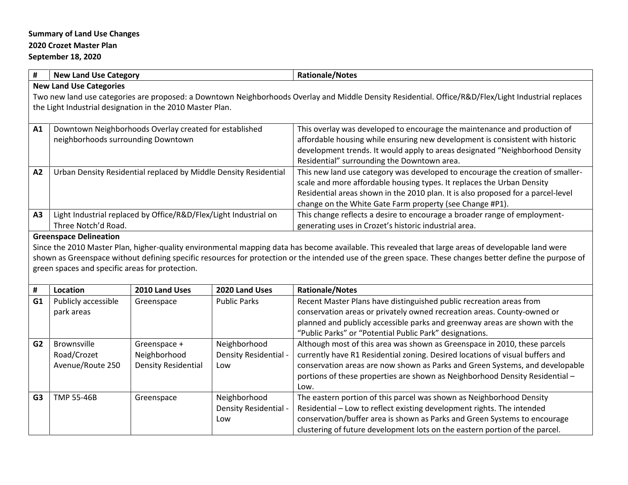## **Summary of Land Use Changes 2020 Crozet Master Plan**

## **September 18, 2020**

| #                                                                                                                                                                                                                                                   | <b>New Land Use Category</b>                                                                 | <b>Rationale/Notes</b>                                                                                                                                                                                                                                                                                   |  |  |
|-----------------------------------------------------------------------------------------------------------------------------------------------------------------------------------------------------------------------------------------------------|----------------------------------------------------------------------------------------------|----------------------------------------------------------------------------------------------------------------------------------------------------------------------------------------------------------------------------------------------------------------------------------------------------------|--|--|
| <b>New Land Use Categories</b><br>Two new land use categories are proposed: a Downtown Neighborhoods Overlay and Middle Density Residential. Office/R&D/Flex/Light Industrial replaces<br>the Light Industrial designation in the 2010 Master Plan. |                                                                                              |                                                                                                                                                                                                                                                                                                          |  |  |
|                                                                                                                                                                                                                                                     |                                                                                              |                                                                                                                                                                                                                                                                                                          |  |  |
| A <sub>1</sub>                                                                                                                                                                                                                                      | Downtown Neighborhoods Overlay created for established<br>neighborhoods surrounding Downtown | This overlay was developed to encourage the maintenance and production of<br>affordable housing while ensuring new development is consistent with historic<br>development trends. It would apply to areas designated "Neighborhood Density<br>Residential" surrounding the Downtown area.                |  |  |
| A <sub>2</sub>                                                                                                                                                                                                                                      | Urban Density Residential replaced by Middle Density Residential                             | This new land use category was developed to encourage the creation of smaller-<br>scale and more affordable housing types. It replaces the Urban Density<br>Residential areas shown in the 2010 plan. It is also proposed for a parcel-level<br>change on the White Gate Farm property (see Change #P1). |  |  |
| A <sub>3</sub>                                                                                                                                                                                                                                      | Light Industrial replaced by Office/R&D/Flex/Light Industrial on<br>Three Notch'd Road.      | This change reflects a desire to encourage a broader range of employment-<br>generating uses in Crozet's historic industrial area.                                                                                                                                                                       |  |  |
|                                                                                                                                                                                                                                                     | Greensnace Delineation                                                                       |                                                                                                                                                                                                                                                                                                          |  |  |

## **Greenspace Delineation**

Since the 2010 Master Plan, higher-quality environmental mapping data has become available. This revealed that large areas of developable land were shown as Greenspace without defining specific resources for protection or the intended use of the green space. These changes better define the purpose of green spaces and specific areas for protection.

| #              | Location                                              | 2010 Land Uses                                             | 2020 Land Uses                               | <b>Rationale/Notes</b>                                                                                                                                                                                                                                                                                                             |
|----------------|-------------------------------------------------------|------------------------------------------------------------|----------------------------------------------|------------------------------------------------------------------------------------------------------------------------------------------------------------------------------------------------------------------------------------------------------------------------------------------------------------------------------------|
| G1             | Publicly accessible<br>park areas                     | Greenspace                                                 | <b>Public Parks</b>                          | Recent Master Plans have distinguished public recreation areas from<br>conservation areas or privately owned recreation areas. County-owned or<br>planned and publicly accessible parks and greenway areas are shown with the<br>"Public Parks" or "Potential Public Park" designations.                                           |
| G <sub>2</sub> | <b>Brownsville</b><br>Road/Crozet<br>Avenue/Route 250 | Greenspace +<br>Neighborhood<br><b>Density Residential</b> | Neighborhood<br>Density Residential -<br>Low | Although most of this area was shown as Greenspace in 2010, these parcels<br>currently have R1 Residential zoning. Desired locations of visual buffers and<br>conservation areas are now shown as Parks and Green Systems, and developable<br>portions of these properties are shown as Neighborhood Density Residential -<br>Low. |
| G <sub>3</sub> | <b>TMP 55-46B</b>                                     | Greenspace                                                 | Neighborhood<br>Density Residential -<br>Low | The eastern portion of this parcel was shown as Neighborhood Density<br>Residential - Low to reflect existing development rights. The intended<br>conservation/buffer area is shown as Parks and Green Systems to encourage<br>clustering of future development lots on the eastern portion of the parcel.                         |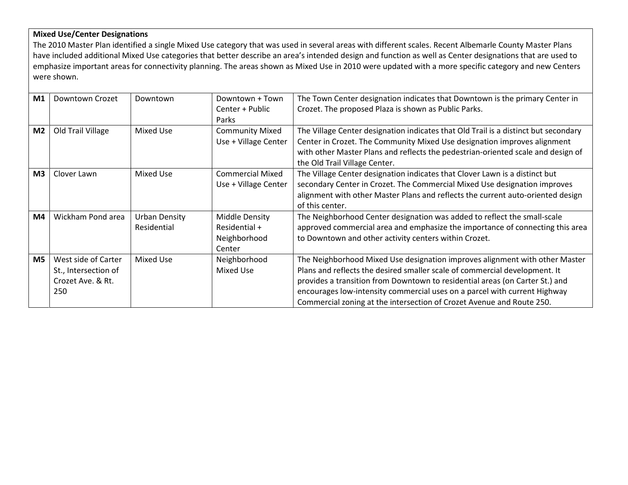## **Mixed Use/Center Designations**

The 2010 Master Plan identified a single Mixed Use category that was used in several areas with different scales. Recent Albemarle County Master Plans have included additional Mixed Use categories that better describe an area's intended design and function as well as Center designations that are used to emphasize important areas for connectivity planning. The areas shown as Mixed Use in 2010 were updated with a more specific category and new Centers were shown.

| M1             | Downtown Crozet      | Downtown             | Downtown + Town         | The Town Center designation indicates that Downtown is the primary Center in        |
|----------------|----------------------|----------------------|-------------------------|-------------------------------------------------------------------------------------|
|                |                      |                      | Center + Public         | Crozet. The proposed Plaza is shown as Public Parks.                                |
|                |                      |                      | Parks                   |                                                                                     |
| M <sub>2</sub> | Old Trail Village    | Mixed Use            | <b>Community Mixed</b>  | The Village Center designation indicates that Old Trail is a distinct but secondary |
|                |                      |                      | Use + Village Center    | Center in Crozet. The Community Mixed Use designation improves alignment            |
|                |                      |                      |                         | with other Master Plans and reflects the pedestrian-oriented scale and design of    |
|                |                      |                      |                         | the Old Trail Village Center.                                                       |
| M <sub>3</sub> | Clover Lawn          | Mixed Use            | <b>Commercial Mixed</b> | The Village Center designation indicates that Clover Lawn is a distinct but         |
|                |                      |                      | Use + Village Center    | secondary Center in Crozet. The Commercial Mixed Use designation improves           |
|                |                      |                      |                         | alignment with other Master Plans and reflects the current auto-oriented design     |
|                |                      |                      |                         | of this center.                                                                     |
| M4             | Wickham Pond area    | <b>Urban Density</b> | <b>Middle Density</b>   | The Neighborhood Center designation was added to reflect the small-scale            |
|                |                      | Residential          | Residential +           | approved commercial area and emphasize the importance of connecting this area       |
|                |                      |                      | Neighborhood            | to Downtown and other activity centers within Crozet.                               |
|                |                      |                      | Center                  |                                                                                     |
| M <sub>5</sub> | West side of Carter  | Mixed Use            | Neighborhood            | The Neighborhood Mixed Use designation improves alignment with other Master         |
|                | St., Intersection of |                      | Mixed Use               | Plans and reflects the desired smaller scale of commercial development. It          |
|                | Crozet Ave. & Rt.    |                      |                         | provides a transition from Downtown to residential areas (on Carter St.) and        |
|                | 250                  |                      |                         | encourages low-intensity commercial uses on a parcel with current Highway           |
|                |                      |                      |                         | Commercial zoning at the intersection of Crozet Avenue and Route 250.               |